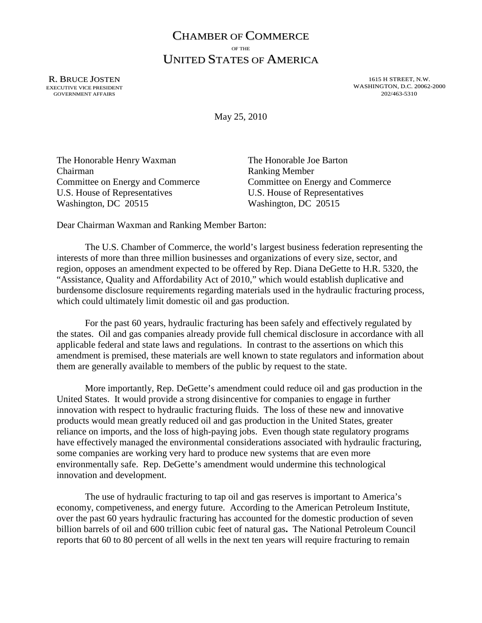## CHAMBER OF COMMERCE OF THE UNITED STATES OF AMERICA

R. BRUCE JOSTEN EXECUTIVE VICE PRESIDENT GOVERNMENT AFFAIRS

1615 H STREET, N.W. WASHINGTON, D.C. 20062-2000 202/463-5310

May 25, 2010

The Honorable Henry Waxman The Honorable Joe Barton Chairman Ranking Member U.S. House of Representatives U.S. House of Representatives Washington, DC 20515 Washington, DC 20515

Committee on Energy and Commerce Committee on Energy and Commerce

Dear Chairman Waxman and Ranking Member Barton:

The U.S. Chamber of Commerce, the world's largest business federation representing the interests of more than three million businesses and organizations of every size, sector, and region, opposes an amendment expected to be offered by Rep. Diana DeGette to H.R. 5320, the "Assistance, Quality and Affordability Act of 2010," which would establish duplicative and burdensome disclosure requirements regarding materials used in the hydraulic fracturing process, which could ultimately limit domestic oil and gas production.

For the past 60 years, hydraulic fracturing has been safely and effectively regulated by the states. Oil and gas companies already provide full chemical disclosure in accordance with all applicable federal and state laws and regulations. In contrast to the assertions on which this amendment is premised, these materials are well known to state regulators and information about them are generally available to members of the public by request to the state.

More importantly, Rep. DeGette's amendment could reduce oil and gas production in the United States. It would provide a strong disincentive for companies to engage in further innovation with respect to hydraulic fracturing fluids. The loss of these new and innovative products would mean greatly reduced oil and gas production in the United States, greater reliance on imports, and the loss of high-paying jobs. Even though state regulatory programs have effectively managed the environmental considerations associated with hydraulic fracturing, some companies are working very hard to produce new systems that are even more environmentally safe. Rep. DeGette's amendment would undermine this technological innovation and development.

The use of hydraulic fracturing to tap oil and gas reserves is important to America's economy, competiveness, and energy future. According to the American Petroleum Institute, over the past 60 years hydraulic fracturing has accounted for the domestic production of seven billion barrels of oil and 600 trillion cubic feet of natural gas**.** The National Petroleum Council reports that 60 to 80 percent of all wells in the next ten years will require fracturing to remain